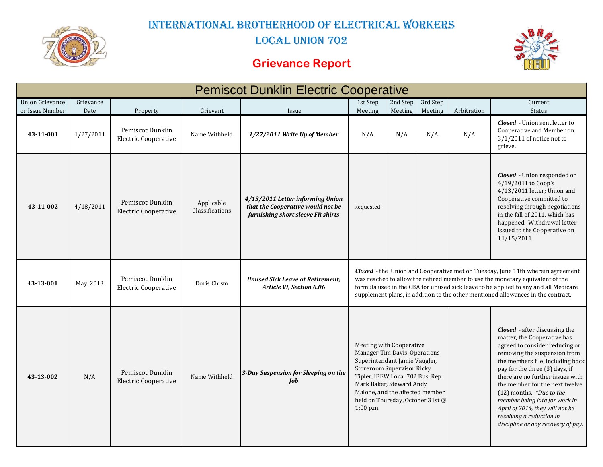

International Brotherhood of Electrical Workers

LOCAL UNION 702

### **Grievance Report**



| <b>Pemiscot Dunklin Electric Cooperative</b> |                   |                                                             |                               |                                                                                                            |                                                                                                                                                                                                                                                                                                                                                   |                |                |                    |                                                                                                                                                                                                                                                                                                                                                                                                                                                       |  |
|----------------------------------------------|-------------------|-------------------------------------------------------------|-------------------------------|------------------------------------------------------------------------------------------------------------|---------------------------------------------------------------------------------------------------------------------------------------------------------------------------------------------------------------------------------------------------------------------------------------------------------------------------------------------------|----------------|----------------|--------------------|-------------------------------------------------------------------------------------------------------------------------------------------------------------------------------------------------------------------------------------------------------------------------------------------------------------------------------------------------------------------------------------------------------------------------------------------------------|--|
| <b>Union Grievance</b>                       | Grievance         |                                                             |                               |                                                                                                            | 1st Step                                                                                                                                                                                                                                                                                                                                          | 2nd Step       | 3rd Step       |                    | Current                                                                                                                                                                                                                                                                                                                                                                                                                                               |  |
| or Issue Number<br>43-11-001                 | Date<br>1/27/2011 | Property<br>Pemiscot Dunklin<br><b>Electric Cooperative</b> | Grievant<br>Name Withheld     | Issue<br>1/27/2011 Write Up of Member                                                                      | Meeting<br>N/A                                                                                                                                                                                                                                                                                                                                    | Meeting<br>N/A | Meeting<br>N/A | Arbitration<br>N/A | Status<br><b>Closed</b> - Union sent letter to<br>Cooperative and Member on<br>$3/1/2011$ of notice not to<br>grieve.                                                                                                                                                                                                                                                                                                                                 |  |
| 43-11-002                                    | 4/18/2011         | Pemiscot Dunklin<br><b>Electric Cooperative</b>             | Applicable<br>Classifications | 4/13/2011 Letter informing Union<br>that the Cooperative would not be<br>furnishing short sleeve FR shirts | Requested                                                                                                                                                                                                                                                                                                                                         |                |                |                    | <b>Closed</b> - Union responded on<br>$4/19/2011$ to Coop's<br>4/13/2011 letter; Union and<br>Cooperative committed to<br>resolving through negotiations<br>in the fall of 2011, which has<br>happened. Withdrawal letter<br>issued to the Cooperative on<br>11/15/2011.                                                                                                                                                                              |  |
| 43-13-001                                    | May, 2013         | Pemiscot Dunklin<br><b>Electric Cooperative</b>             | Doris Chism                   | <b>Unused Sick Leave at Retirement:</b><br>Article VI, Section 6.06                                        | <b>Closed</b> - the Union and Cooperative met on Tuesday, June 11th wherein agreement<br>was reached to allow the retired member to use the monetary equivalent of the<br>formula used in the CBA for unused sick leave to be applied to any and all Medicare<br>supplement plans, in addition to the other mentioned allowances in the contract. |                |                |                    |                                                                                                                                                                                                                                                                                                                                                                                                                                                       |  |
| 43-13-002                                    | N/A               | Pemiscot Dunklin<br><b>Electric Cooperative</b>             | Name Withheld                 | 3-Day Suspension for Sleeping on the<br>Job                                                                | Meeting with Cooperative<br>Manager Tim Davis, Operations<br>Superintendant Jamie Vaughn,<br>Storeroom Supervisor Ricky<br>Tipler, IBEW Local 702 Bus. Rep.<br>Mark Baker, Steward Andy<br>Malone, and the affected member<br>held on Thursday, October 31st @<br>$1:00$ p.m.                                                                     |                |                |                    | <b>Closed</b> - after discussing the<br>matter, the Cooperative has<br>agreed to consider reducing or<br>removing the suspension from<br>the members file, including back<br>pay for the three (3) days, if<br>there are no further issues with<br>the member for the next twelve<br>$(12)$ months. *Due to the<br>member being late for work in<br>April of 2014, they will not be<br>receiving a reduction in<br>discipline or any recovery of pay. |  |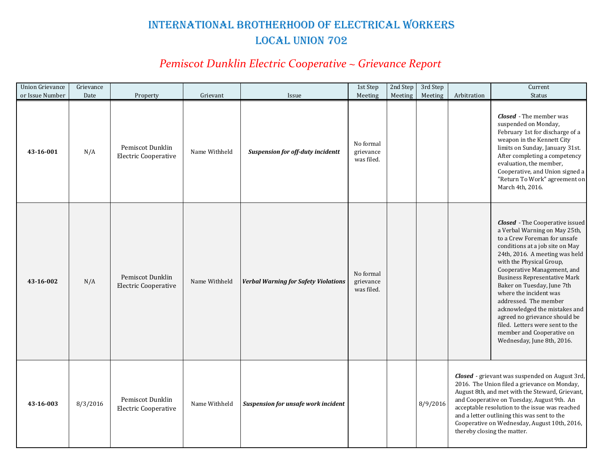# International Brotherhood of Electrical Workers LOCAL UNION 702

### *Pemiscot Dunklin Electric Cooperative ~ Grievance Report*

| <b>Union Grievance</b>       | Grievance   |                                                             |                           |                                                   | 1st Step                                        | 2nd Step | 3rd Step |                                                                                                                                                                                                                                                                                                                                                                                 | Current                                                                                                                                                                                                                                                                                                                                                                                                                                                                                                                         |
|------------------------------|-------------|-------------------------------------------------------------|---------------------------|---------------------------------------------------|-------------------------------------------------|----------|----------|---------------------------------------------------------------------------------------------------------------------------------------------------------------------------------------------------------------------------------------------------------------------------------------------------------------------------------------------------------------------------------|---------------------------------------------------------------------------------------------------------------------------------------------------------------------------------------------------------------------------------------------------------------------------------------------------------------------------------------------------------------------------------------------------------------------------------------------------------------------------------------------------------------------------------|
| or Issue Number<br>43-16-001 | Date<br>N/A | Property<br>Pemiscot Dunklin<br><b>Electric Cooperative</b> | Grievant<br>Name Withheld | Issue<br><b>Suspension for off-duty incidentt</b> | Meeting<br>No formal<br>grievance<br>was filed. | Meeting  | Meeting  | Arbitration                                                                                                                                                                                                                                                                                                                                                                     | <b>Status</b><br><b>Closed</b> - The member was<br>suspended on Monday,<br>February 1st for discharge of a<br>weapon in the Kennett City<br>limits on Sunday, January 31st.<br>After completing a competency<br>evaluation, the member,<br>Cooperative, and Union signed a<br>"Return To Work" agreement on<br>March 4th, 2016.                                                                                                                                                                                                 |
| 43-16-002                    | N/A         | Pemiscot Dunklin<br><b>Electric Cooperative</b>             | Name Withheld             | <b>Verbal Warning for Safety Violations</b>       | No formal<br>grievance<br>was filed.            |          |          |                                                                                                                                                                                                                                                                                                                                                                                 | <b>Closed</b> - The Cooperative issued<br>a Verbal Warning on May 25th,<br>to a Crew Foreman for unsafe<br>conditions at a job site on May<br>24th, 2016. A meeting was held<br>with the Physical Group,<br>Cooperative Management, and<br><b>Business Representative Mark</b><br>Baker on Tuesday, June 7th<br>where the incident was<br>addressed. The member<br>acknowledged the mistakes and<br>agreed no grievance should be<br>filed. Letters were sent to the<br>member and Cooperative on<br>Wednesday, June 8th, 2016. |
| 43-16-003                    | 8/3/2016    | Pemiscot Dunklin<br><b>Electric Cooperative</b>             | Name Withheld             | Suspension for unsafe work incident               |                                                 |          | 8/9/2016 | Closed - grievant was suspended on August 3rd,<br>2016. The Union filed a grievance on Monday,<br>August 8th, and met with the Steward, Grievant,<br>and Cooperative on Tuesday, August 9th. An<br>acceptable resolution to the issue was reached<br>and a letter outlining this was sent to the<br>Cooperative on Wednesday, August 10th, 2016,<br>thereby closing the matter. |                                                                                                                                                                                                                                                                                                                                                                                                                                                                                                                                 |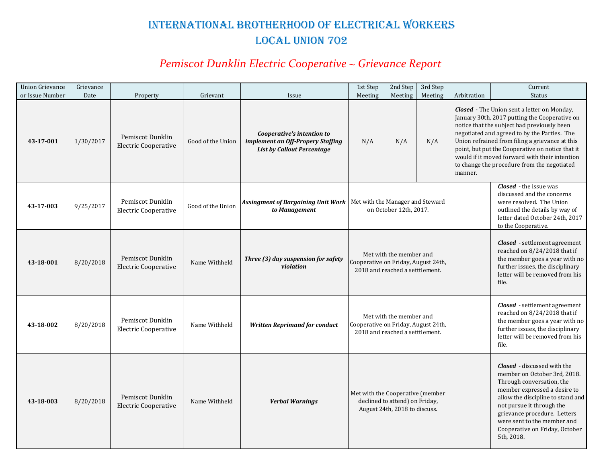# International Brotherhood of Electrical Workers LOCAL UNION 702

### *Pemiscot Dunklin Electric Cooperative ~ Grievance Report*

| <b>Union Grievance</b><br>or Issue Number | Grievance<br>Date |                                                             | Grievant          | Issue                                                                                                | 1st Step<br>Meeting                                                                                 | 2nd Step<br>Meeting | 3rd Step<br>Meeting | Arbitration                                                                                                                                                                                                                                                                                                      | Current<br><b>Status</b>                                                                                                                                                                                                                                                                                                                                                                                   |
|-------------------------------------------|-------------------|-------------------------------------------------------------|-------------------|------------------------------------------------------------------------------------------------------|-----------------------------------------------------------------------------------------------------|---------------------|---------------------|------------------------------------------------------------------------------------------------------------------------------------------------------------------------------------------------------------------------------------------------------------------------------------------------------------------|------------------------------------------------------------------------------------------------------------------------------------------------------------------------------------------------------------------------------------------------------------------------------------------------------------------------------------------------------------------------------------------------------------|
| 43-17-001                                 | 1/30/2017         | Property<br>Pemiscot Dunklin<br><b>Electric Cooperative</b> | Good of the Union | Cooperative's intention to<br>implement an Off-Propery Staffing<br><b>List by Callout Percentage</b> | N/A                                                                                                 | N/A                 | N/A                 | manner.                                                                                                                                                                                                                                                                                                          | <b>Closed</b> - The Union sent a letter on Monday,<br>January 30th, 2017 putting the Cooperative on<br>notice that the subject had previously been<br>negotiated and agreed to by the Parties. The<br>Union refrained from filing a grievance at this<br>point, but put the Cooperative on notice that it<br>would if it moved forward with their intention<br>to change the procedure from the negotiated |
| 43-17-003                                 | 9/25/2017         | Pemiscot Dunklin<br><b>Electric Cooperative</b>             | Good of the Union | Assingment of Bargaining Unit Work   Met with the Manager and Steward<br>to Management               | on October 12th, 2017.                                                                              |                     |                     |                                                                                                                                                                                                                                                                                                                  | <b>Closed</b> - the issue was<br>discussed and the concerns<br>were resolved. The Union<br>outlined the details by way of<br>letter dated October 24th, 2017<br>to the Cooperative.                                                                                                                                                                                                                        |
| 43-18-001                                 | 8/20/2018         | Pemiscot Dunklin<br><b>Electric Cooperative</b>             | Name Withheld     | Three (3) day suspension for safety<br>violation                                                     | Met with the member and<br>Cooperative on Friday, August 24th,<br>2018 and reached a setttlement.   |                     |                     |                                                                                                                                                                                                                                                                                                                  | <b>Closed</b> - settlement agreement<br>reached on 8/24/2018 that if<br>the member goes a year with no<br>further issues, the disciplinary<br>letter will be removed from his<br>file.                                                                                                                                                                                                                     |
| 43-18-002                                 | 8/20/2018         | Pemiscot Dunklin<br><b>Electric Cooperative</b>             | Name Withheld     | <b>Written Reprimand for conduct</b>                                                                 | Met with the member and<br>Cooperative on Friday, August 24th,<br>2018 and reached a setttlement.   |                     |                     |                                                                                                                                                                                                                                                                                                                  | <b>Closed</b> - settlement agreement<br>reached on 8/24/2018 that if<br>the member goes a year with no<br>further issues, the disciplinary<br>letter will be removed from his<br>file.                                                                                                                                                                                                                     |
| 43-18-003                                 | 8/20/2018         | Pemiscot Dunklin<br><b>Electric Cooperative</b>             | Name Withheld     | <b>Verbal Warnings</b>                                                                               | Met with the Cooperative (member<br>declined to attend) on Friday,<br>August 24th, 2018 to discuss. |                     |                     | <b>Closed</b> - discussed with the<br>member on October 3rd, 2018.<br>Through conversation, the<br>member expressed a desire to<br>allow the discipline to stand and<br>not pursue it through the<br>grievance procedure. Letters<br>were sent to the member and<br>Cooperative on Friday, October<br>5th, 2018. |                                                                                                                                                                                                                                                                                                                                                                                                            |